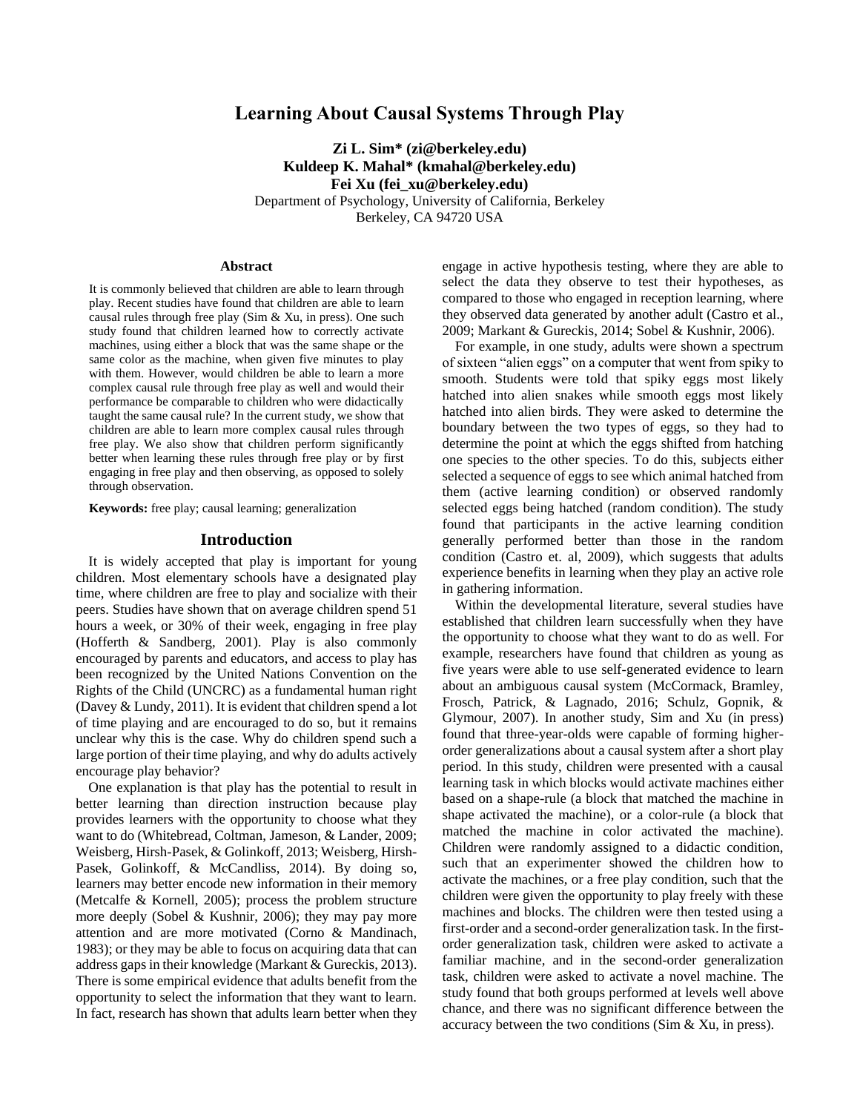# **Learning About Causal Systems Through Play**

**Zi L. Sim\* (zi@berkeley.edu) Kuldeep K. Mahal\* (kmahal@berkeley.edu) Fei Xu (fei\_xu@berkeley.edu)**

Department of Psychology, University of California, Berkeley Berkeley, CA 94720 USA

#### **Abstract**

It is commonly believed that children are able to learn through play. Recent studies have found that children are able to learn causal rules through free play (Sim & Xu, in press). One such study found that children learned how to correctly activate machines, using either a block that was the same shape or the same color as the machine, when given five minutes to play with them. However, would children be able to learn a more complex causal rule through free play as well and would their performance be comparable to children who were didactically taught the same causal rule? In the current study, we show that children are able to learn more complex causal rules through free play. We also show that children perform significantly better when learning these rules through free play or by first engaging in free play and then observing, as opposed to solely through observation.

**Keywords:** free play; causal learning; generalization

### **Introduction**

It is widely accepted that play is important for young children. Most elementary schools have a designated play time, where children are free to play and socialize with their peers. Studies have shown that on average children spend 51 hours a week, or 30% of their week, engaging in free play (Hofferth & Sandberg, 2001). Play is also commonly encouraged by parents and educators, and access to play has been recognized by the United Nations Convention on the Rights of the Child (UNCRC) as a fundamental human right (Davey & Lundy, 2011). It is evident that children spend a lot of time playing and are encouraged to do so, but it remains unclear why this is the case. Why do children spend such a large portion of their time playing, and why do adults actively encourage play behavior?

One explanation is that play has the potential to result in better learning than direction instruction because play provides learners with the opportunity to choose what they want to do (Whitebread, Coltman, Jameson, & Lander, 2009; Weisberg, Hirsh-Pasek, & Golinkoff, 2013; Weisberg, Hirsh-Pasek, Golinkoff, & McCandliss, 2014). By doing so, learners may better encode new information in their memory (Metcalfe & Kornell, 2005); process the problem structure more deeply (Sobel & Kushnir, 2006); they may pay more attention and are more motivated (Corno & Mandinach, 1983); or they may be able to focus on acquiring data that can address gaps in their knowledge (Markant & Gureckis, 2013). There is some empirical evidence that adults benefit from the opportunity to select the information that they want to learn. In fact, research has shown that adults learn better when they engage in active hypothesis testing, where they are able to select the data they observe to test their hypotheses, as compared to those who engaged in reception learning, where they observed data generated by another adult (Castro et al., 2009; Markant & Gureckis, 2014; Sobel & Kushnir, 2006).

For example, in one study, adults were shown a spectrum of sixteen "alien eggs" on a computer that went from spiky to smooth. Students were told that spiky eggs most likely hatched into alien snakes while smooth eggs most likely hatched into alien birds. They were asked to determine the boundary between the two types of eggs, so they had to determine the point at which the eggs shifted from hatching one species to the other species. To do this, subjects either selected a sequence of eggs to see which animal hatched from them (active learning condition) or observed randomly selected eggs being hatched (random condition). The study found that participants in the active learning condition generally performed better than those in the random condition (Castro et. al, 2009), which suggests that adults experience benefits in learning when they play an active role in gathering information.

Within the developmental literature, several studies have established that children learn successfully when they have the opportunity to choose what they want to do as well. For example, researchers have found that children as young as five years were able to use self-generated evidence to learn about an ambiguous causal system (McCormack, Bramley, Frosch, Patrick, & Lagnado, 2016; Schulz, Gopnik, & Glymour, 2007). In another study, Sim and Xu (in press) found that three-year-olds were capable of forming higherorder generalizations about a causal system after a short play period. In this study, children were presented with a causal learning task in which blocks would activate machines either based on a shape-rule (a block that matched the machine in shape activated the machine), or a color-rule (a block that matched the machine in color activated the machine). Children were randomly assigned to a didactic condition, such that an experimenter showed the children how to activate the machines, or a free play condition, such that the children were given the opportunity to play freely with these machines and blocks. The children were then tested using a first-order and a second-order generalization task. In the firstorder generalization task, children were asked to activate a familiar machine, and in the second-order generalization task, children were asked to activate a novel machine. The study found that both groups performed at levels well above chance, and there was no significant difference between the accuracy between the two conditions (Sim & Xu, in press).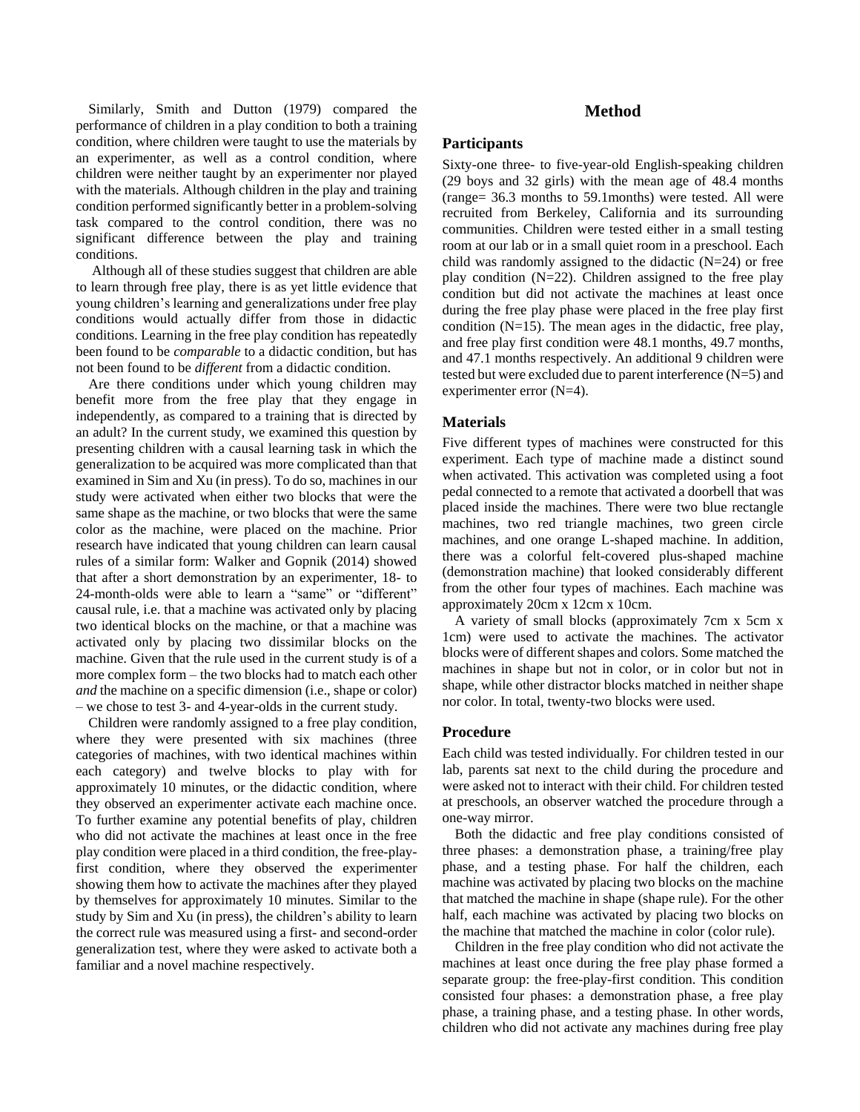Similarly, Smith and Dutton (1979) compared the performance of children in a play condition to both a training condition, where children were taught to use the materials by an experimenter, as well as a control condition, where children were neither taught by an experimenter nor played with the materials. Although children in the play and training condition performed significantly better in a problem-solving task compared to the control condition, there was no significant difference between the play and training conditions.

Although all of these studies suggest that children are able to learn through free play, there is as yet little evidence that young children's learning and generalizations under free play conditions would actually differ from those in didactic conditions. Learning in the free play condition has repeatedly been found to be *comparable* to a didactic condition, but has not been found to be *different* from a didactic condition.

Are there conditions under which young children may benefit more from the free play that they engage in independently, as compared to a training that is directed by an adult? In the current study, we examined this question by presenting children with a causal learning task in which the generalization to be acquired was more complicated than that examined in Sim and Xu (in press). To do so, machines in our study were activated when either two blocks that were the same shape as the machine, or two blocks that were the same color as the machine, were placed on the machine. Prior research have indicated that young children can learn causal rules of a similar form: Walker and Gopnik (2014) showed that after a short demonstration by an experimenter, 18- to 24-month-olds were able to learn a "same" or "different" causal rule, i.e. that a machine was activated only by placing two identical blocks on the machine, or that a machine was activated only by placing two dissimilar blocks on the machine. Given that the rule used in the current study is of a more complex form – the two blocks had to match each other *and* the machine on a specific dimension (i.e., shape or color) – we chose to test 3- and 4-year-olds in the current study.

Children were randomly assigned to a free play condition, where they were presented with six machines (three categories of machines, with two identical machines within each category) and twelve blocks to play with for approximately 10 minutes, or the didactic condition, where they observed an experimenter activate each machine once. To further examine any potential benefits of play, children who did not activate the machines at least once in the free play condition were placed in a third condition, the free-playfirst condition, where they observed the experimenter showing them how to activate the machines after they played by themselves for approximately 10 minutes. Similar to the study by Sim and Xu (in press), the children's ability to learn the correct rule was measured using a first- and second-order generalization test, where they were asked to activate both a familiar and a novel machine respectively.

# **Method**

# **Participants**

Sixty-one three- to five-year-old English-speaking children (29 boys and 32 girls) with the mean age of 48.4 months (range= 36.3 months to 59.1months) were tested. All were recruited from Berkeley, California and its surrounding communities. Children were tested either in a small testing room at our lab or in a small quiet room in a preschool. Each child was randomly assigned to the didactic (N=24) or free play condition (N=22). Children assigned to the free play condition but did not activate the machines at least once during the free play phase were placed in the free play first condition  $(N=15)$ . The mean ages in the didactic, free play, and free play first condition were 48.1 months, 49.7 months, and 47.1 months respectively. An additional 9 children were tested but were excluded due to parent interference  $(N=5)$  and experimenter error (N=4).

#### **Materials**

Five different types of machines were constructed for this experiment. Each type of machine made a distinct sound when activated. This activation was completed using a foot pedal connected to a remote that activated a doorbell that was placed inside the machines. There were two blue rectangle machines, two red triangle machines, two green circle machines, and one orange L-shaped machine. In addition, there was a colorful felt-covered plus-shaped machine (demonstration machine) that looked considerably different from the other four types of machines. Each machine was approximately 20cm x 12cm x 10cm.

A variety of small blocks (approximately 7cm x 5cm x 1cm) were used to activate the machines. The activator blocks were of different shapes and colors. Some matched the machines in shape but not in color, or in color but not in shape, while other distractor blocks matched in neither shape nor color. In total, twenty-two blocks were used.

#### **Procedure**

Each child was tested individually. For children tested in our lab, parents sat next to the child during the procedure and were asked not to interact with their child. For children tested at preschools, an observer watched the procedure through a one-way mirror.

Both the didactic and free play conditions consisted of three phases: a demonstration phase, a training/free play phase, and a testing phase. For half the children, each machine was activated by placing two blocks on the machine that matched the machine in shape (shape rule). For the other half, each machine was activated by placing two blocks on the machine that matched the machine in color (color rule).

Children in the free play condition who did not activate the machines at least once during the free play phase formed a separate group: the free-play-first condition. This condition consisted four phases: a demonstration phase, a free play phase, a training phase, and a testing phase. In other words, children who did not activate any machines during free play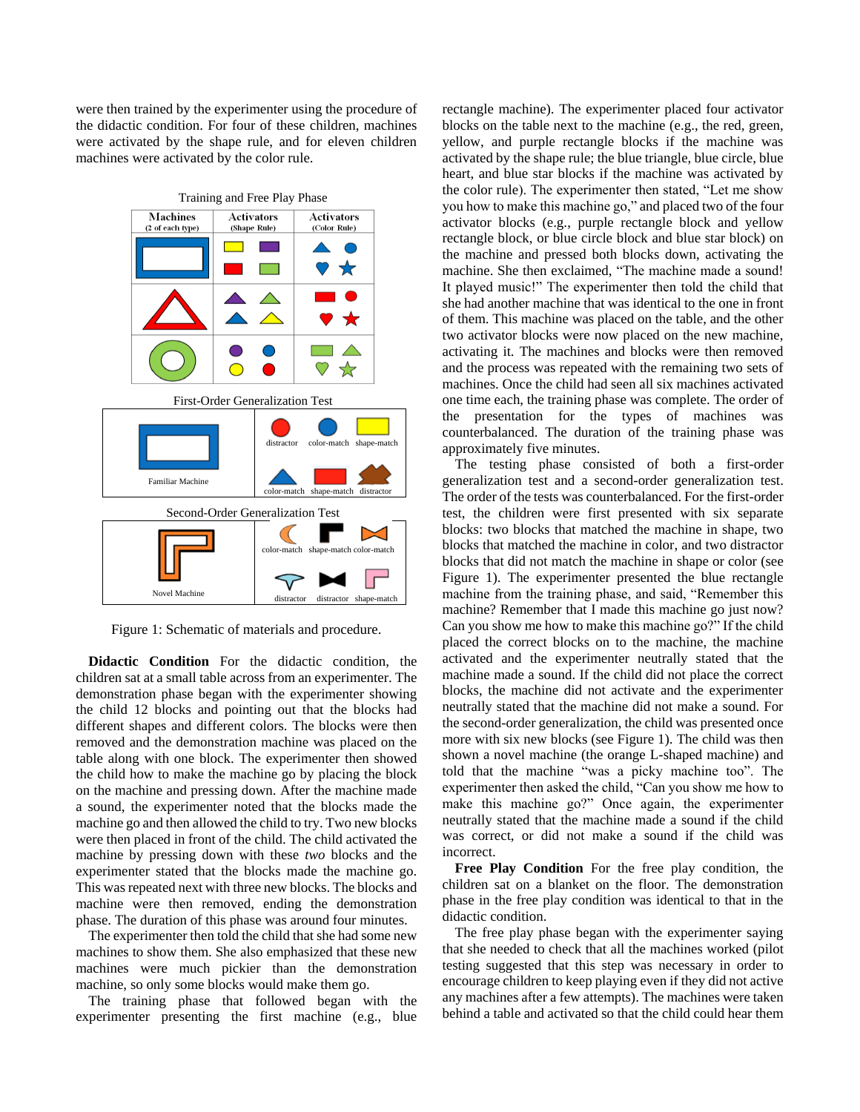were then trained by the experimenter using the procedure of the didactic condition. For four of these children, machines were activated by the shape rule, and for eleven children machines were activated by the color rule.



Figure 1: Schematic of materials and procedure.

**Didactic Condition** For the didactic condition, the children sat at a small table across from an experimenter. The demonstration phase began with the experimenter showing the child 12 blocks and pointing out that the blocks had different shapes and different colors. The blocks were then removed and the demonstration machine was placed on the table along with one block. The experimenter then showed the child how to make the machine go by placing the block on the machine and pressing down. After the machine made a sound, the experimenter noted that the blocks made the machine go and then allowed the child to try. Two new blocks were then placed in front of the child. The child activated the machine by pressing down with these *two* blocks and the experimenter stated that the blocks made the machine go. This was repeated next with three new blocks. The blocks and machine were then removed, ending the demonstration phase. The duration of this phase was around four minutes.

The experimenter then told the child that she had some new machines to show them. She also emphasized that these new machines were much pickier than the demonstration machine, so only some blocks would make them go.

The training phase that followed began with the experimenter presenting the first machine (e.g., blue rectangle machine). The experimenter placed four activator blocks on the table next to the machine (e.g., the red, green, yellow, and purple rectangle blocks if the machine was activated by the shape rule; the blue triangle, blue circle, blue heart, and blue star blocks if the machine was activated by the color rule). The experimenter then stated, "Let me show you how to make this machine go," and placed two of the four activator blocks (e.g., purple rectangle block and yellow rectangle block, or blue circle block and blue star block) on the machine and pressed both blocks down, activating the machine. She then exclaimed, "The machine made a sound! It played music!" The experimenter then told the child that she had another machine that was identical to the one in front of them. This machine was placed on the table, and the other two activator blocks were now placed on the new machine, activating it. The machines and blocks were then removed and the process was repeated with the remaining two sets of machines. Once the child had seen all six machines activated one time each, the training phase was complete. The order of the presentation for the types of machines was counterbalanced. The duration of the training phase was approximately five minutes.

The testing phase consisted of both a first-order generalization test and a second-order generalization test. The order of the tests was counterbalanced. For the first-order test, the children were first presented with six separate blocks: two blocks that matched the machine in shape, two blocks that matched the machine in color, and two distractor blocks that did not match the machine in shape or color (see Figure 1). The experimenter presented the blue rectangle machine from the training phase, and said, "Remember this machine? Remember that I made this machine go just now? Can you show me how to make this machine go?" If the child placed the correct blocks on to the machine, the machine activated and the experimenter neutrally stated that the machine made a sound. If the child did not place the correct blocks, the machine did not activate and the experimenter neutrally stated that the machine did not make a sound. For the second-order generalization, the child was presented once more with six new blocks (see Figure 1). The child was then shown a novel machine (the orange L-shaped machine) and told that the machine "was a picky machine too". The experimenter then asked the child, "Can you show me how to make this machine go?" Once again, the experimenter neutrally stated that the machine made a sound if the child was correct, or did not make a sound if the child was incorrect.

**Free Play Condition** For the free play condition, the children sat on a blanket on the floor. The demonstration phase in the free play condition was identical to that in the didactic condition.

The free play phase began with the experimenter saying that she needed to check that all the machines worked (pilot testing suggested that this step was necessary in order to encourage children to keep playing even if they did not active any machines after a few attempts). The machines were taken behind a table and activated so that the child could hear them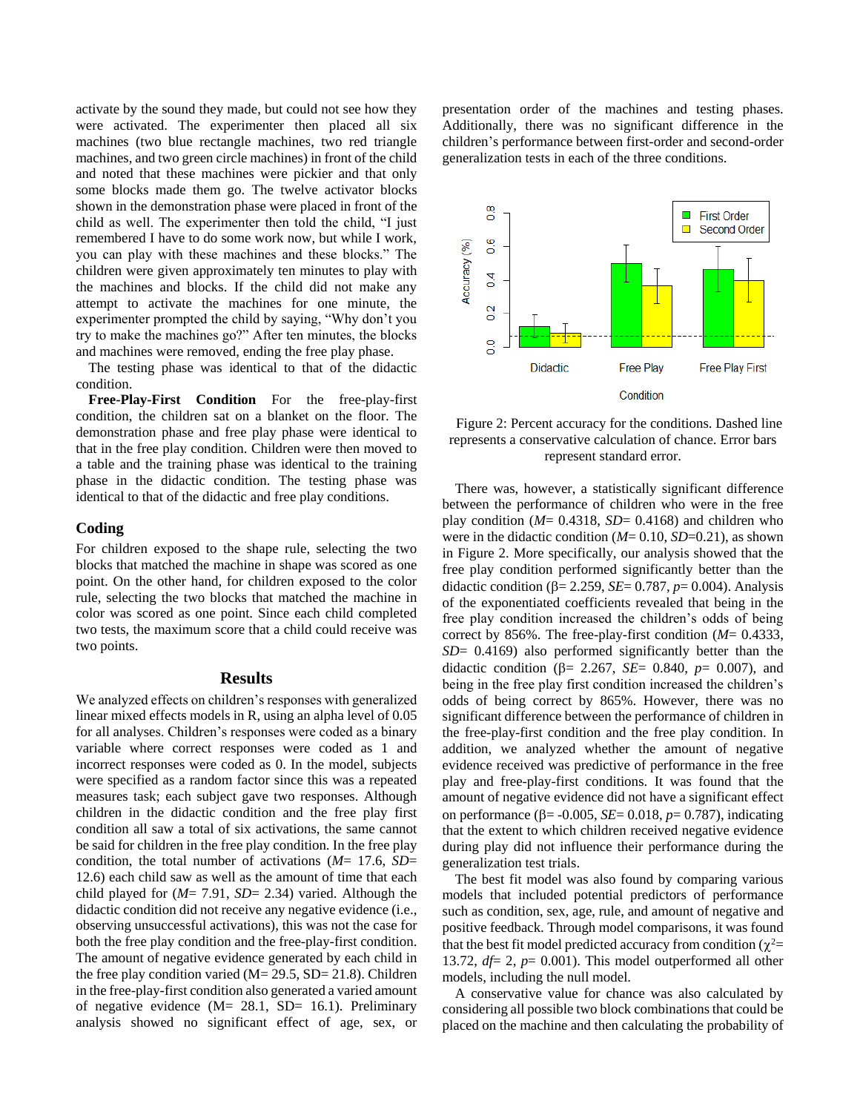activate by the sound they made, but could not see how they were activated. The experimenter then placed all six machines (two blue rectangle machines, two red triangle machines, and two green circle machines) in front of the child and noted that these machines were pickier and that only some blocks made them go. The twelve activator blocks shown in the demonstration phase were placed in front of the child as well. The experimenter then told the child, "I just remembered I have to do some work now, but while I work, you can play with these machines and these blocks." The children were given approximately ten minutes to play with the machines and blocks. If the child did not make any attempt to activate the machines for one minute, the experimenter prompted the child by saying, "Why don't you try to make the machines go?" After ten minutes, the blocks and machines were removed, ending the free play phase.

The testing phase was identical to that of the didactic condition.

**Free-Play-First Condition** For the free-play-first condition, the children sat on a blanket on the floor. The demonstration phase and free play phase were identical to that in the free play condition. Children were then moved to a table and the training phase was identical to the training phase in the didactic condition. The testing phase was identical to that of the didactic and free play conditions.

### **Coding**

For children exposed to the shape rule, selecting the two blocks that matched the machine in shape was scored as one point. On the other hand, for children exposed to the color rule, selecting the two blocks that matched the machine in color was scored as one point. Since each child completed two tests, the maximum score that a child could receive was two points.

#### **Results**

We analyzed effects on children's responses with generalized linear mixed effects models in R, using an alpha level of 0.05 for all analyses. Children's responses were coded as a binary variable where correct responses were coded as 1 and incorrect responses were coded as 0. In the model, subjects were specified as a random factor since this was a repeated measures task; each subject gave two responses. Although children in the didactic condition and the free play first condition all saw a total of six activations, the same cannot be said for children in the free play condition. In the free play condition, the total number of activations (*M*= 17.6, *SD*= 12.6) each child saw as well as the amount of time that each child played for (*M*= 7.91, *SD*= 2.34) varied. Although the didactic condition did not receive any negative evidence (i.e., observing unsuccessful activations), this was not the case for both the free play condition and the free-play-first condition. The amount of negative evidence generated by each child in the free play condition varied ( $M = 29.5$ , SD= 21.8). Children in the free-play-first condition also generated a varied amount of negative evidence (M= 28.1, SD= 16.1). Preliminary analysis showed no significant effect of age, sex, or presentation order of the machines and testing phases. Additionally, there was no significant difference in the children's performance between first-order and second-order generalization tests in each of the three conditions.



Figure 2: Percent accuracy for the conditions. Dashed line represents a conservative calculation of chance. Error bars represent standard error.

There was, however, a statistically significant difference between the performance of children who were in the free play condition  $(M= 0.4318, SD= 0.4168)$  and children who were in the didactic condition (*M*= 0.10, *SD*=0.21), as shown in Figure 2. More specifically, our analysis showed that the free play condition performed significantly better than the didactic condition ( $\beta$ = 2.259, *SE*= 0.787, *p*= 0.004). Analysis of the exponentiated coefficients revealed that being in the free play condition increased the children's odds of being correct by 856%. The free-play-first condition (*M*= 0.4333, *SD*= 0.4169) also performed significantly better than the didactic condition ( $\beta$ = 2.267, *SE*= 0.840, *p*= 0.007), and being in the free play first condition increased the children's odds of being correct by 865%. However, there was no significant difference between the performance of children in the free-play-first condition and the free play condition. In addition, we analyzed whether the amount of negative evidence received was predictive of performance in the free play and free-play-first conditions. It was found that the amount of negative evidence did not have a significant effect on performance ( $\beta$ = -0.005, *SE*= 0.018, *p*= 0.787), indicating that the extent to which children received negative evidence during play did not influence their performance during the generalization test trials.

The best fit model was also found by comparing various models that included potential predictors of performance such as condition, sex, age, rule, and amount of negative and positive feedback. Through model comparisons, it was found that the best fit model predicted accuracy from condition ( $\chi^2$ = 13.72, *df*= 2, *p*= 0.001). This model outperformed all other models, including the null model.

A conservative value for chance was also calculated by considering all possible two block combinations that could be placed on the machine and then calculating the probability of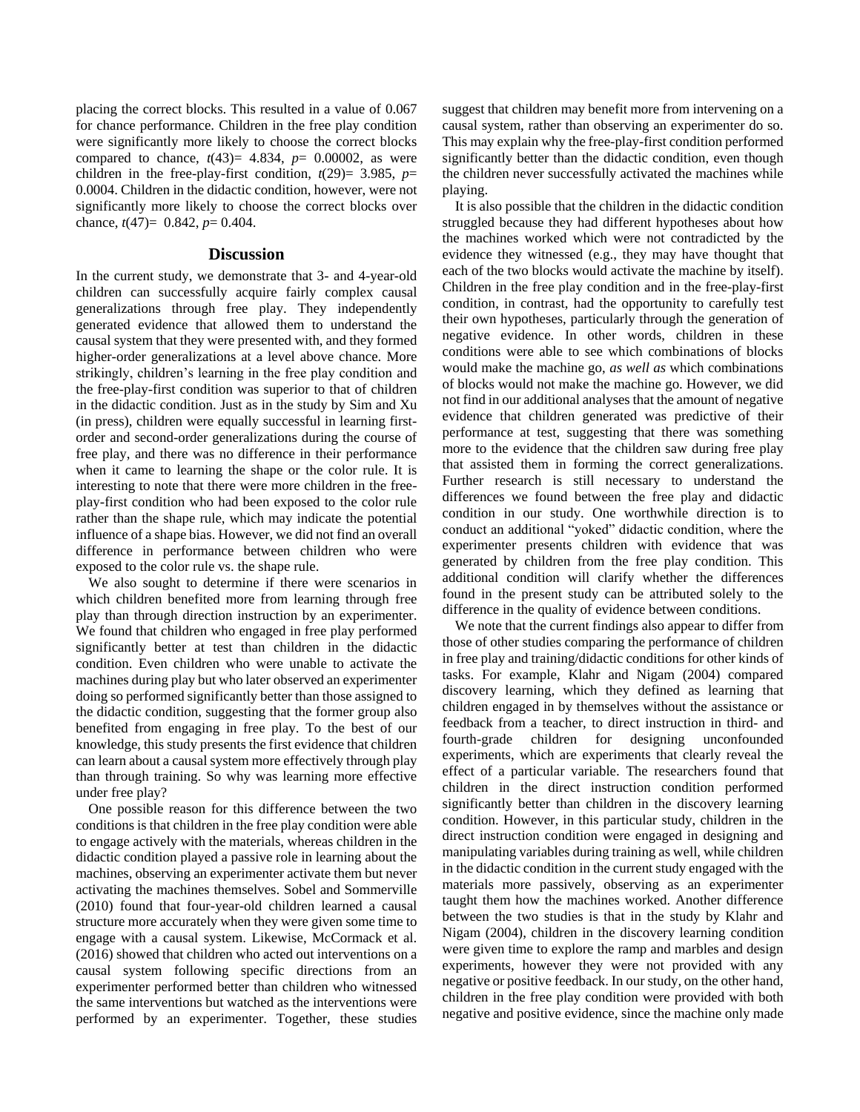placing the correct blocks. This resulted in a value of 0.067 for chance performance. Children in the free play condition were significantly more likely to choose the correct blocks compared to chance,  $t(43)= 4.834$ ,  $p= 0.00002$ , as were children in the free-play-first condition,  $t(29) = 3.985$ ,  $p=$ 0.0004. Children in the didactic condition, however, were not significantly more likely to choose the correct blocks over chance, *t*(47)= 0.842, *p*= 0.404.

# **Discussion**

In the current study, we demonstrate that 3- and 4-year-old children can successfully acquire fairly complex causal generalizations through free play. They independently generated evidence that allowed them to understand the causal system that they were presented with, and they formed higher-order generalizations at a level above chance. More strikingly, children's learning in the free play condition and the free-play-first condition was superior to that of children in the didactic condition. Just as in the study by Sim and Xu (in press), children were equally successful in learning firstorder and second-order generalizations during the course of free play, and there was no difference in their performance when it came to learning the shape or the color rule. It is interesting to note that there were more children in the freeplay-first condition who had been exposed to the color rule rather than the shape rule, which may indicate the potential influence of a shape bias. However, we did not find an overall difference in performance between children who were exposed to the color rule vs. the shape rule.

We also sought to determine if there were scenarios in which children benefited more from learning through free play than through direction instruction by an experimenter. We found that children who engaged in free play performed significantly better at test than children in the didactic condition. Even children who were unable to activate the machines during play but who later observed an experimenter doing so performed significantly better than those assigned to the didactic condition, suggesting that the former group also benefited from engaging in free play. To the best of our knowledge, this study presents the first evidence that children can learn about a causal system more effectively through play than through training. So why was learning more effective under free play?

One possible reason for this difference between the two conditions is that children in the free play condition were able to engage actively with the materials, whereas children in the didactic condition played a passive role in learning about the machines, observing an experimenter activate them but never activating the machines themselves. Sobel and Sommerville (2010) found that four-year-old children learned a causal structure more accurately when they were given some time to engage with a causal system. Likewise, McCormack et al. (2016) showed that children who acted out interventions on a causal system following specific directions from an experimenter performed better than children who witnessed the same interventions but watched as the interventions were performed by an experimenter. Together, these studies

suggest that children may benefit more from intervening on a causal system, rather than observing an experimenter do so. This may explain why the free-play-first condition performed significantly better than the didactic condition, even though the children never successfully activated the machines while playing.

It is also possible that the children in the didactic condition struggled because they had different hypotheses about how the machines worked which were not contradicted by the evidence they witnessed (e.g., they may have thought that each of the two blocks would activate the machine by itself). Children in the free play condition and in the free-play-first condition, in contrast, had the opportunity to carefully test their own hypotheses, particularly through the generation of negative evidence. In other words, children in these conditions were able to see which combinations of blocks would make the machine go, *as well as* which combinations of blocks would not make the machine go. However, we did not find in our additional analyses that the amount of negative evidence that children generated was predictive of their performance at test, suggesting that there was something more to the evidence that the children saw during free play that assisted them in forming the correct generalizations. Further research is still necessary to understand the differences we found between the free play and didactic condition in our study. One worthwhile direction is to conduct an additional "yoked" didactic condition, where the experimenter presents children with evidence that was generated by children from the free play condition. This additional condition will clarify whether the differences found in the present study can be attributed solely to the difference in the quality of evidence between conditions.

We note that the current findings also appear to differ from those of other studies comparing the performance of children in free play and training/didactic conditions for other kinds of tasks. For example, Klahr and Nigam (2004) compared discovery learning, which they defined as learning that children engaged in by themselves without the assistance or feedback from a teacher, to direct instruction in third- and fourth-grade children for designing unconfounded experiments, which are experiments that clearly reveal the effect of a particular variable. The researchers found that children in the direct instruction condition performed significantly better than children in the discovery learning condition. However, in this particular study, children in the direct instruction condition were engaged in designing and manipulating variables during training as well, while children in the didactic condition in the current study engaged with the materials more passively, observing as an experimenter taught them how the machines worked. Another difference between the two studies is that in the study by Klahr and Nigam (2004), children in the discovery learning condition were given time to explore the ramp and marbles and design experiments, however they were not provided with any negative or positive feedback. In our study, on the other hand, children in the free play condition were provided with both negative and positive evidence, since the machine only made